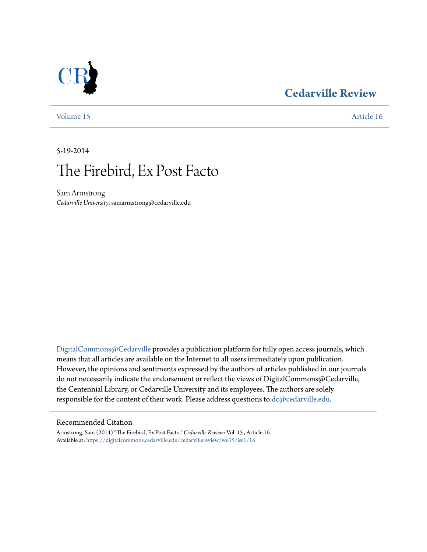# **[Cedarville Review](https://digitalcommons.cedarville.edu/cedarvillereview?utm_source=digitalcommons.cedarville.edu%2Fcedarvillereview%2Fvol15%2Fiss1%2F16&utm_medium=PDF&utm_campaign=PDFCoverPages)**



[Volume 15](https://digitalcommons.cedarville.edu/cedarvillereview/vol15?utm_source=digitalcommons.cedarville.edu%2Fcedarvillereview%2Fvol15%2Fiss1%2F16&utm_medium=PDF&utm_campaign=PDFCoverPages) [Article 16](https://digitalcommons.cedarville.edu/cedarvillereview/vol15/iss1/16?utm_source=digitalcommons.cedarville.edu%2Fcedarvillereview%2Fvol15%2Fiss1%2F16&utm_medium=PDF&utm_campaign=PDFCoverPages)

5-19-2014

# The Firebird, Ex Post Facto

Sam Armstrong *Cedarville University*, samarmstrong@cedarville.edu

[DigitalCommons@Cedarville](http://digitalcommons.cedarville.edu) provides a publication platform for fully open access journals, which means that all articles are available on the Internet to all users immediately upon publication. However, the opinions and sentiments expressed by the authors of articles published in our journals do not necessarily indicate the endorsement or reflect the views of DigitalCommons@Cedarville, the Centennial Library, or Cedarville University and its employees. The authors are solely responsible for the content of their work. Please address questions to [dc@cedarville.edu](mailto:dc@cedarville.edu).

#### Recommended Citation

Armstrong, Sam (2014) "The Firebird, Ex Post Facto," *Cedarville Review*: Vol. 15 , Article 16. Available at: [https://digitalcommons.cedarville.edu/cedarvillereview/vol15/iss1/16](https://digitalcommons.cedarville.edu/cedarvillereview/vol15/iss1/16?utm_source=digitalcommons.cedarville.edu%2Fcedarvillereview%2Fvol15%2Fiss1%2F16&utm_medium=PDF&utm_campaign=PDFCoverPages)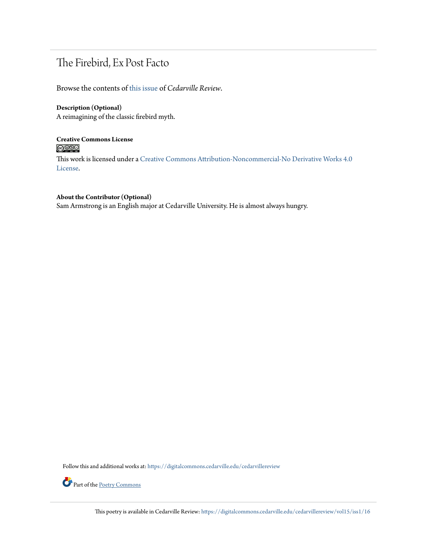# The Firebird, Ex Post Facto

Browse the contents of [this issue](https://digitalcommons.cedarville.edu/cedarvillereview/vol15/iss1) of *Cedarville Review*.

## **Description (Optional)**

A reimagining of the classic firebird myth.

### **Creative Commons License**  $\bigcirc$   $\circ$

This work is licensed under a [Creative Commons Attribution-Noncommercial-No Derivative Works 4.0](http://creativecommons.org/licenses/by-nc-nd/4.0/) [License.](http://creativecommons.org/licenses/by-nc-nd/4.0/)

#### **About the Contributor (Optional)**

Sam Armstrong is an English major at Cedarville University. He is almost always hungry.

Follow this and additional works at: [https://digitalcommons.cedarville.edu/cedarvillereview](https://digitalcommons.cedarville.edu/cedarvillereview?utm_source=digitalcommons.cedarville.edu%2Fcedarvillereview%2Fvol15%2Fiss1%2F16&utm_medium=PDF&utm_campaign=PDFCoverPages)



Part of the [Poetry Commons](http://network.bepress.com/hgg/discipline/1153?utm_source=digitalcommons.cedarville.edu%2Fcedarvillereview%2Fvol15%2Fiss1%2F16&utm_medium=PDF&utm_campaign=PDFCoverPages)

This poetry is available in Cedarville Review: [https://digitalcommons.cedarville.edu/cedarvillereview/vol15/iss1/16](https://digitalcommons.cedarville.edu/cedarvillereview/vol15/iss1/16?utm_source=digitalcommons.cedarville.edu%2Fcedarvillereview%2Fvol15%2Fiss1%2F16&utm_medium=PDF&utm_campaign=PDFCoverPages)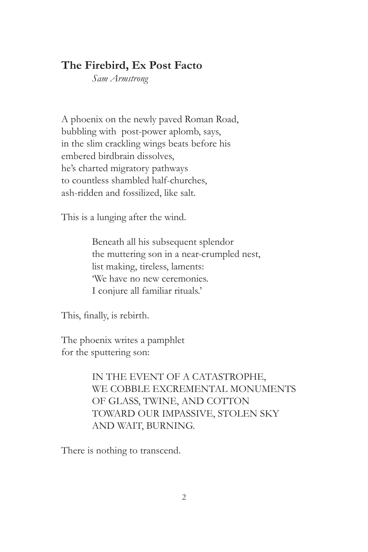## **The Firebird, Ex Post Facto**

*Sam Armstrong*

A phoenix on the newly paved Roman Road, bubbling with post-power aplomb, says, in the slim crackling wings beats before his embered birdbrain dissolves, he's charted migratory pathways to countless shambled half-churches, ash-ridden and fossilized, like salt.

This is a lunging after the wind.

Beneath all his subsequent splendor the muttering son in a near-crumpled nest, list making, tireless, laments: 'We have no new ceremonies. I conjure all familiar rituals.'

This, finally, is rebirth.

The phoenix writes a pamphlet for the sputtering son:

> IN THE EVENT OF A CATASTROPHE, WE COBBLE EXCREMENTAL MONUMENTS OF GLASS, TWINE, AND COTTON TOWARD OUR IMPASSIVE, STOLEN SKY AND WAIT, BURNING.

There is nothing to transcend.